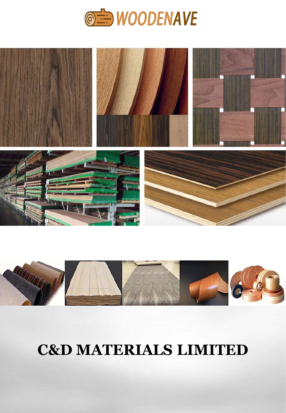





# **C&D MATERIALS LIMITED**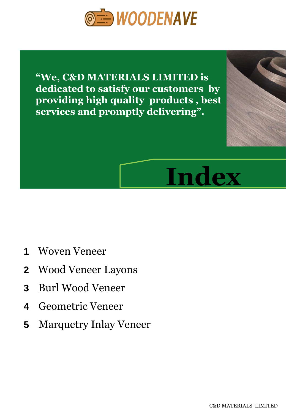

**"We, C&D MATERIALS LIMITED is dedicated to satisfy our customers by providing high quality products , best services and promptly delivering".**



- **1** Woven Veneer
- **2** Wood Veneer Layons
- **3** Burl Wood Veneer
- **4** Geometric Veneer
- **5** Marquetry Inlay Veneer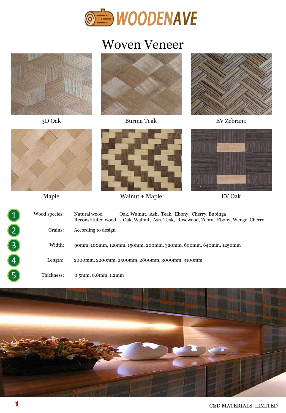

#### Woven Veneer





3D Oak Burma Teak EV Zebrano







Maple Walnut + Maple EV Oak



| 1 | Wood species: | Oak, Walnut, Ash, Teak, Ebony, Cherry, Bubinga<br>Natural wood<br>Oak, Walnut, Ash, Teak, Rosewood, Zebra, Ebony, Wenge, Cherry<br>Reconstituted wood |
|---|---------------|-------------------------------------------------------------------------------------------------------------------------------------------------------|
|   | Grains:       | According to design                                                                                                                                   |
|   | Width:        | 90mm, 100mm, 120mm, 150mm, 200mm, 320mm, 600mm, 640mm, 1250mm                                                                                         |
| 4 | Length:       | 2000mm, 2200mm, 2500mm, 2800mm, 3000mm, 3100mm                                                                                                        |
|   | Thickness:    | 0.5mm, 0.8mm, 1.2mm                                                                                                                                   |

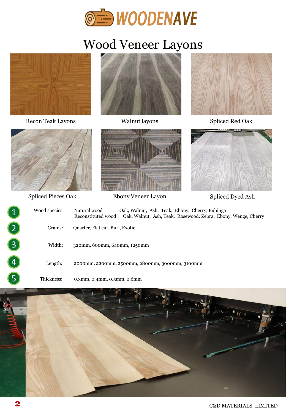

## Wood Veneer Layons



Recon Teak Layons Malnut layons Walnut layons Spliced Red Oak









Spliced Pieces Oak Ebony Veneer Layon Spliced Dyed Ash



| $\overline{1}$ | Wood species: | Natural wood<br>Oak, Walnut, Ash, Teak, Ebony, Cherry, Bubinga<br>Oak, Walnut, Ash, Teak, Rosewood, Zebra, Ebony, Wenge, Cherry<br>Reconstituted wood |
|----------------|---------------|-------------------------------------------------------------------------------------------------------------------------------------------------------|
|                | Grains:       | Quarter, Flat cut, Burl, Exotic                                                                                                                       |
|                | Width:        | 320mm, 600mm, 640mm, 1250mm                                                                                                                           |
| 4              | Length:       | 2000mm, 2200mm, 2500mm, 2800mm, 3000mm, 3100mm                                                                                                        |
|                | Thickness:    | $0.3$ mm, $0.4$ mm, $0.5$ mm, $0.6$ mm                                                                                                                |

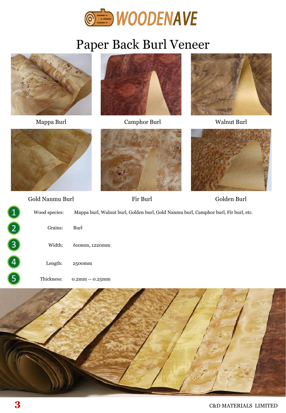

## Paper Back Burl Veneer



Thickness: 0.2mm -- 0.25mm

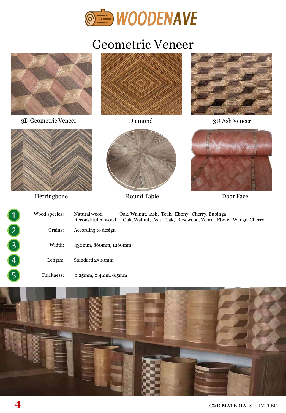

### Geometric Veneer





**4** C&D MATERIALS LIMITED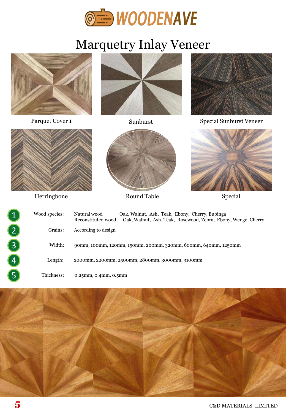

## Marquetry Inlay Veneer





Herringbone Round Table Special



| ◀ | Wood species: | Oak, Walnut, Ash, Teak, Ebony, Cherry, Bubinga<br>Natural wood<br>Oak, Walnut, Ash, Teak, Rosewood, Zebra, Ebony, Wenge, Cherry<br>Reconstituted wood |
|---|---------------|-------------------------------------------------------------------------------------------------------------------------------------------------------|
|   | Grains:       | According to design                                                                                                                                   |
| 3 | Width:        | 90mm, 100mm, 120mm, 150mm, 200mm, 320mm, 600mm, 640mm, 1250mm                                                                                         |
| 4 | Length:       | 2000mm, 2200mm, 2500mm, 2800mm, 3000mm, 3100mm                                                                                                        |
| 5 | Thickness:    | $0.25$ mm, $0.4$ mm, $0.5$ mm                                                                                                                         |